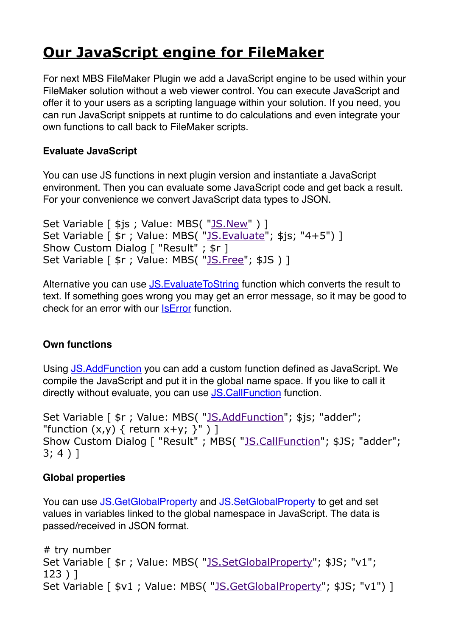# **[Our JavaScript engine for FileMaker](https://www.mbs-plugins.com/archive/2019-12-09/Our_JavaScript_engine_for_File/monkeybreadsoftware_blog_filemaker)**

For next MBS FileMaker Plugin we add a JavaScript engine to be used within your FileMaker solution without a web viewer control. You can execute JavaScript and offer it to your users as a scripting language within your solution. If you need, you can run JavaScript snippets at runtime to do calculations and even integrate your own functions to call back to FileMaker scripts.

#### **Evaluate JavaScript**

You can use JS functions in next plugin version and instantiate a JavaScript environment. Then you can evaluate some JavaScript code and get back a result. For your convenience we convert JavaScript data types to JSON.

```
JS.New" ) ]
JS.Evaluate</u>"; $js; "4+5") ]
Show Custom Dialog [ "Result" ; $r ] 
Set Variable [ $r ; Value: MBS( "JS. Free": $JS ) ]
```
Alternative you can use **JS.** Evaluate To String function which converts the result to text. If something goes wrong you may get an error message, so it may be good to check for an error with our [IsError](https://www.mbsplugins.eu/IsError.shtml) function.

## **Own functions**

Using [JS.AddFunction](https://www.mbsplugins.eu/JSAddFunction.shtml) you can add a custom function defined as JavaScript. We compile the JavaScript and put it in the global name space. If you like to call it directly without evaluate, you can use [JS.CallFunction](https://www.mbsplugins.eu/JSCallFunction.shtml) function.

```
JS.AddFunction"; $js; "adder";
"function (x,y) { return x+y; \}" \}]
Show Custom Dialog [ "Result" ; MBS( "JS.CallFunction"; $JS; "adder"; 
3; 4 ) ]
```
## **Global properties**

You can use [JS.GetGlobalProperty](https://www.mbsplugins.eu/JSGetGlobalProperty.shtml) and [JS.SetGlobalProperty](https://www.mbsplugins.eu/JSSetGlobalProperty.shtml) to get and set values in variables linked to the global namespace in JavaScript. The data is passed/received in JSON format.

```
# try number 
Set Variable [ \frac{1}{2}JS.SetGlobalProperty"; $JS; "v1";
123 ) ] 
Set Variable [ $v1"JS.GetGlobalProperty"; $JS; "v1") ]
```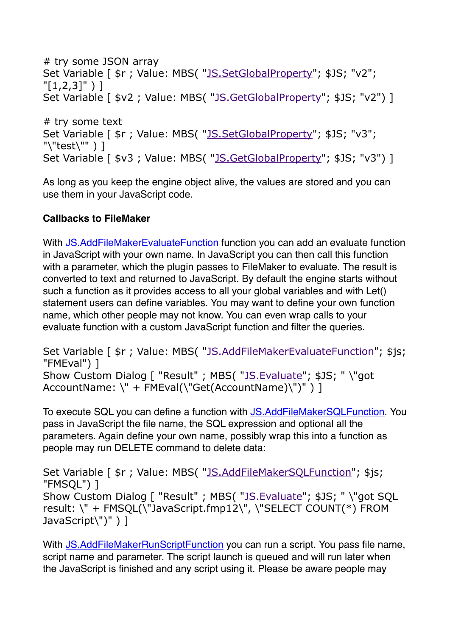```
# try some JSON array 
JS.SetGlobalProperty"; $JS; "v2";
"[1,2,3]" ) ]
Set Variable [ $v2"JS.GetGlobalProperty"; $JS; "v2") ]
# try some text 
JS.SetGlobalProperty"; $JS; "v3";
"\"test\"" ) ] 
"JS.GetGlobalProperty"; $JS; "v3") ]
```
As long as you keep the engine object alive, the values are stored and you can use them in your JavaScript code.

#### **Callbacks to FileMaker**

With [JS.AddFileMakerEvaluateFunction](https://www.mbsplugins.eu/JSAddFileMakerEvaluateFunction.shtml) function you can add an evaluate function in JavaScript with your own name. In JavaScript you can then call this function with a parameter, which the plugin passes to FileMaker to evaluate. The result is converted to text and returned to JavaScript. By default the engine starts without such a function as it provides access to all your global variables and with Let() statement users can define variables. You may want to define your own function name, which other people may not know. You can even wrap calls to your evaluate function with a custom JavaScript function and filter the queries.

Set Variable [  $\frac{1}{2}$  ; Value: MBS( "[JS.AddFileMakerEvaluateFunction](https://www.mbsplugins.eu/JSAddFileMakerEvaluateFunction.shtml)"; \$js; "FMEval") ] Show Custom Dialog [ "Result" ; MBS( "[JS.Evaluate](https://www.mbsplugins.eu/JSEvaluate.shtml)"; \$JS; " \"got AccountName: \" + FMEval(\"Get(AccountName)\")" ) ]

To execute SQL you can define a function with [JS.AddFileMakerSQLFunction.](https://www.mbsplugins.eu/JSAddFileMakerSQLFunction.shtml) You pass in JavaScript the file name, the SQL expression and optional all the parameters. Again define your own name, possibly wrap this into a function as people may run DELETE command to delete data:

Set Variable [  $\frac{1}{2}$  ; Value: MBS( "[JS.AddFileMakerSQLFunction](https://www.mbsplugins.eu/JSAddFileMakerSQLFunction.shtml)"; \$js; "FMSQL") ] Show Custom Dialog [ "Result" ; MBS( "[JS.Evaluate](https://www.mbsplugins.eu/JSEvaluate.shtml)"; \$JS; " \"got SQL result: \" + FMSQL(\"JavaScript.fmp12\", \"SELECT COUNT(\*) FROM JavaScript\")" ) ]

With [JS.AddFileMakerRunScriptFunction](https://www.mbsplugins.eu/JSAddFileMakerRunScriptFunction.shtml) you can run a script. You pass file name, script name and parameter. The script launch is queued and will run later when the JavaScript is finished and any script using it. Please be aware people may